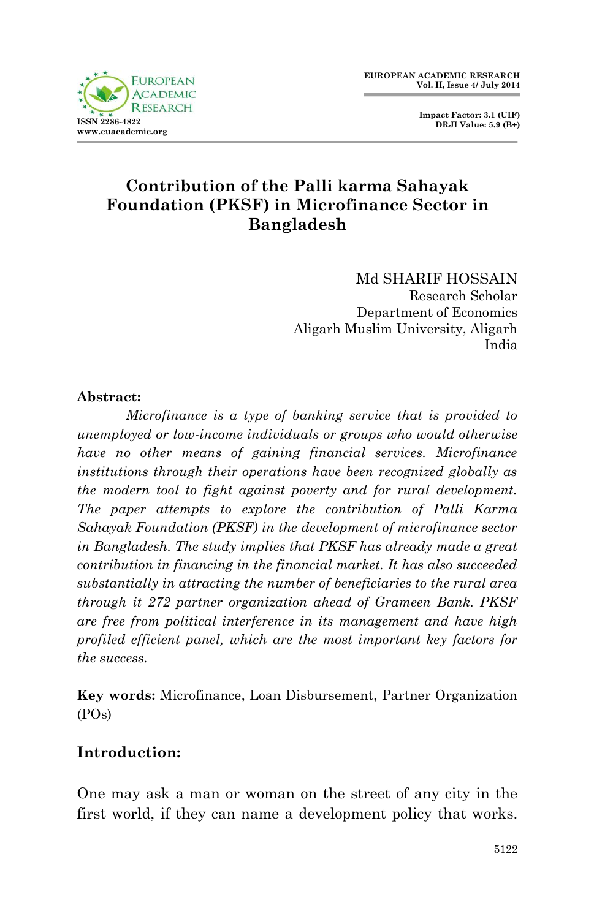**Impact Factor: 3.1 (UIF) DRJI Value: 5.9 (B+)**

# **Contribution of the Palli karma Sahayak Foundation (PKSF) in Microfinance Sector in Bangladesh**

Md SHARIF HOSSAIN Research Scholar Department of Economics Aligarh Muslim University, Aligarh India

### **Abstract:**

*Microfinance is a type of banking service that is provided to unemployed or low-income individuals or groups who would otherwise have no other means of gaining financial services. Microfinance institutions through their operations have been recognized globally as the modern tool to fight against poverty and for rural development. The paper attempts to explore the contribution of Palli Karma Sahayak Foundation (PKSF) in the development of microfinance sector in Bangladesh. The study implies that PKSF has already made a great contribution in financing in the financial market. It has also succeeded substantially in attracting the number of beneficiaries to the rural area through it 272 partner organization ahead of Grameen Bank. PKSF are free from political interference in its management and have high profiled efficient panel, which are the most important key factors for the success.*

**Key words:** Microfinance, Loan Disbursement, Partner Organization (POs)

## **Introduction:**

One may ask a man or woman on the street of any city in the first world, if they can name a development policy that works.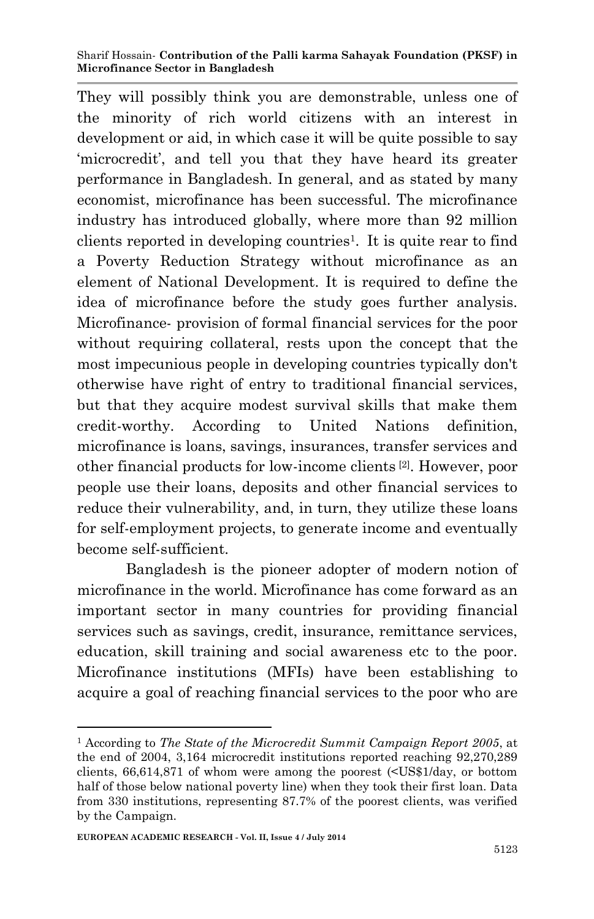They will possibly think you are demonstrable, unless one of the minority of rich world citizens with an interest in development or aid, in which case it will be quite possible to say 'microcredit', and tell you that they have heard its greater performance in Bangladesh. In general, and as stated by many economist, microfinance has been successful. The microfinance industry has introduced globally, where more than 92 million clients reported in developing countries<sup>1</sup>. It is quite rear to find a Poverty Reduction Strategy without microfinance as an element of National Development. It is required to define the idea of microfinance before the study goes further analysis. Microfinance- provision of formal financial services for the poor without requiring collateral, rests upon the concept that the most impecunious people in developing countries typically don't otherwise have right of entry to traditional financial services, but that they acquire modest survival skills that make them credit-worthy. According to United Nations definition, microfinance is loans, savings, insurances, transfer services and other financial products for low-income clients [2]. However, poor people use their loans, deposits and other financial services to reduce their vulnerability, and, in turn, they utilize these loans for self-employment projects, to generate income and eventually become self-sufficient.

Bangladesh is the pioneer adopter of modern notion of microfinance in the world. Microfinance has come forward as an important sector in many countries for providing financial services such as savings, credit, insurance, remittance services, education, skill training and social awareness etc to the poor. Microfinance institutions (MFIs) have been establishing to acquire a goal of reaching financial services to the poor who are

**.** 

<sup>1</sup> According to *The State of the Microcredit Summit Campaign Report 2005*, at the end of 2004, 3,164 microcredit institutions reported reaching 92,270,289 clients, 66,614,871 of whom were among the poorest (<US\$1/day, or bottom half of those below national poverty line) when they took their first loan. Data from 330 institutions, representing 87.7% of the poorest clients, was verified by the Campaign.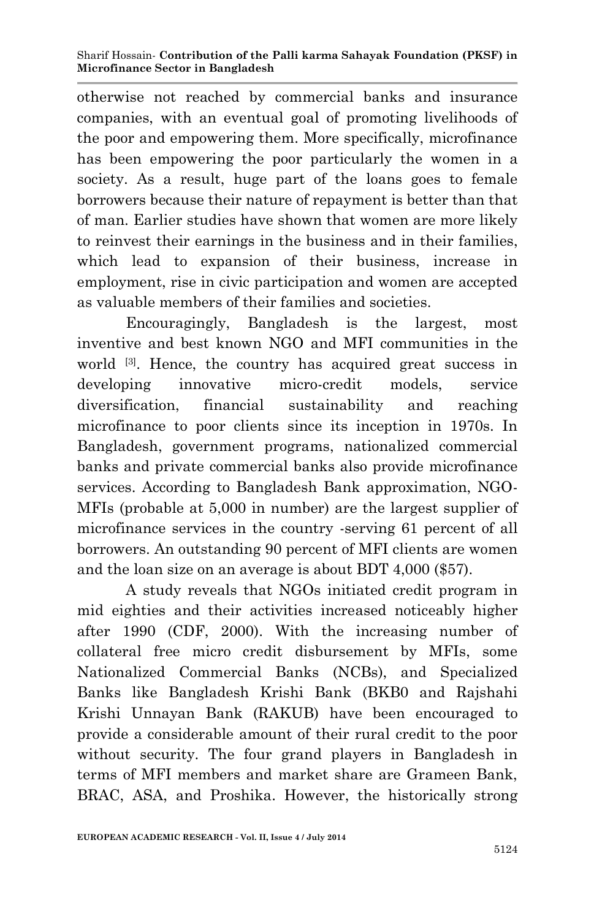otherwise not reached by commercial banks and insurance companies, with an eventual goal of promoting livelihoods of the poor and empowering them. More specifically, microfinance has been empowering the poor particularly the women in a society. As a result, huge part of the loans goes to female borrowers because their nature of repayment is better than that of man. Earlier studies have shown that women are more likely to reinvest their earnings in the business and in their families, which lead to expansion of their business, increase in employment, rise in civic participation and women are accepted as valuable members of their families and societies.

Encouragingly, Bangladesh is the largest, most inventive and best known NGO and MFI communities in the world [3]. Hence, the country has acquired great success in developing innovative micro-credit models, service diversification, financial sustainability and reaching microfinance to poor clients since its inception in 1970s. In Bangladesh, government programs, nationalized commercial banks and private commercial banks also provide microfinance services. According to Bangladesh Bank approximation, NGO-MFIs (probable at 5,000 in number) are the largest supplier of microfinance services in the country -serving 61 percent of all borrowers. An outstanding 90 percent of MFI clients are women and the loan size on an average is about BDT 4,000 (\$57).

A study reveals that NGOs initiated credit program in mid eighties and their activities increased noticeably higher after 1990 (CDF, 2000). With the increasing number of collateral free micro credit disbursement by MFIs, some Nationalized Commercial Banks (NCBs), and Specialized Banks like Bangladesh Krishi Bank (BKB0 and Rajshahi Krishi Unnayan Bank (RAKUB) have been encouraged to provide a considerable amount of their rural credit to the poor without security. The four grand players in Bangladesh in terms of MFI members and market share are Grameen Bank, BRAC, ASA, and Proshika. However, the historically strong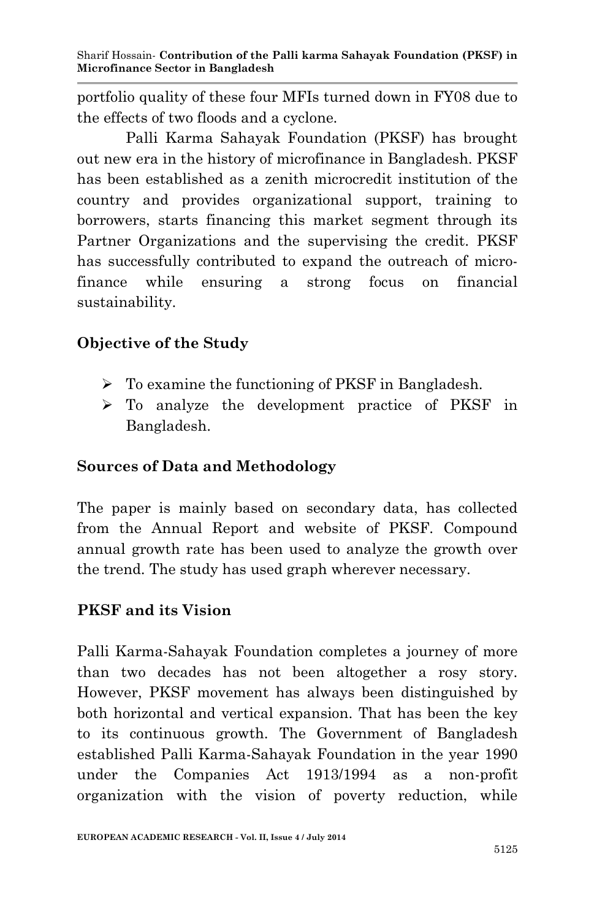portfolio quality of these four MFIs turned down in FY08 due to the effects of two floods and a cyclone.

Palli Karma Sahayak Foundation (PKSF) has brought out new era in the history of microfinance in Bangladesh. PKSF has been established as a zenith microcredit institution of the country and provides organizational support, training to borrowers, starts financing this market segment through its Partner Organizations and the supervising the credit. PKSF has successfully contributed to expand the outreach of microfinance while ensuring a strong focus on financial sustainability.

# **Objective of the Study**

- $\triangleright$  To examine the functioning of PKSF in Bangladesh.
- To analyze the development practice of PKSF in Bangladesh.

# **Sources of Data and Methodology**

The paper is mainly based on secondary data, has collected from the Annual Report and website of PKSF. Compound annual growth rate has been used to analyze the growth over the trend. The study has used graph wherever necessary.

## **PKSF and its Vision**

Palli Karma-Sahayak Foundation completes a journey of more than two decades has not been altogether a rosy story. However, PKSF movement has always been distinguished by both horizontal and vertical expansion. That has been the key to its continuous growth. The Government of Bangladesh established Palli Karma-Sahayak Foundation in the year 1990 under the Companies Act 1913/1994 as a non-profit organization with the vision of poverty reduction, while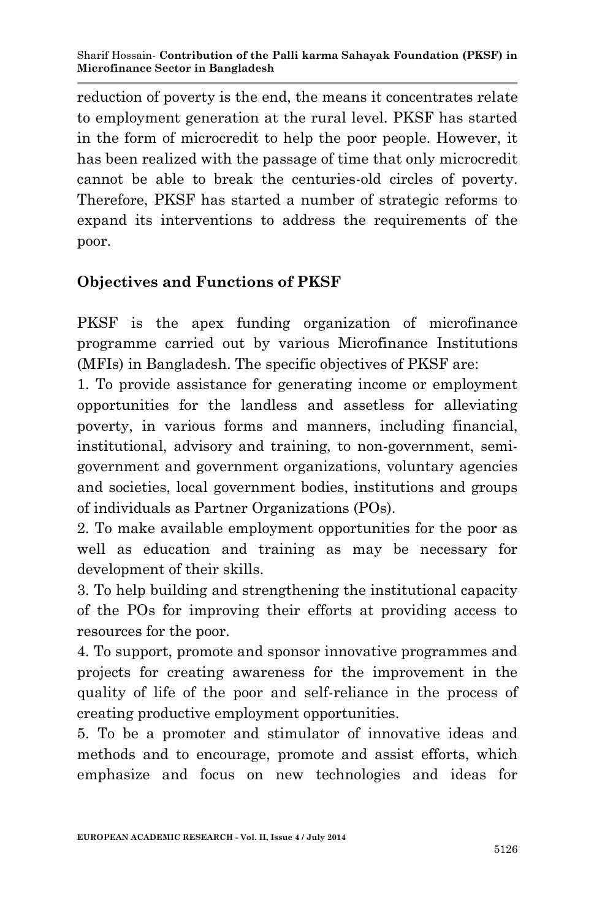reduction of poverty is the end, the means it concentrates relate to employment generation at the rural level. PKSF has started in the form of microcredit to help the poor people. However, it has been realized with the passage of time that only microcredit cannot be able to break the centuries-old circles of poverty. Therefore, PKSF has started a number of strategic reforms to expand its interventions to address the requirements of the poor.

# **Objectives and Functions of PKSF**

PKSF is the apex funding organization of microfinance programme carried out by various Microfinance Institutions (MFIs) in Bangladesh. The specific objectives of PKSF are:

1. To provide assistance for generating income or employment opportunities for the landless and assetless for alleviating poverty, in various forms and manners, including financial, institutional, advisory and training, to non-government, semigovernment and government organizations, voluntary agencies and societies, local government bodies, institutions and groups of individuals as Partner Organizations (POs).

2. To make available employment opportunities for the poor as well as education and training as may be necessary for development of their skills.

3. To help building and strengthening the institutional capacity of the POs for improving their efforts at providing access to resources for the poor.

4. To support, promote and sponsor innovative programmes and projects for creating awareness for the improvement in the quality of life of the poor and self-reliance in the process of creating productive employment opportunities.

5. To be a promoter and stimulator of innovative ideas and methods and to encourage, promote and assist efforts, which emphasize and focus on new technologies and ideas for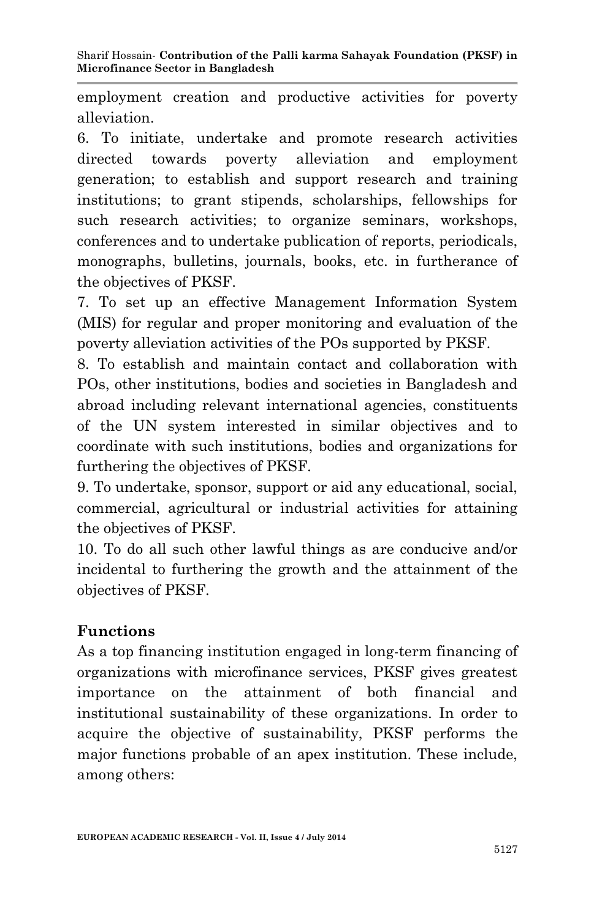employment creation and productive activities for poverty alleviation.

6. To initiate, undertake and promote research activities directed towards poverty alleviation and employment generation; to establish and support research and training institutions; to grant stipends, scholarships, fellowships for such research activities; to organize seminars, workshops, conferences and to undertake publication of reports, periodicals, monographs, bulletins, journals, books, etc. in furtherance of the objectives of PKSF.

7. To set up an effective Management Information System (MIS) for regular and proper monitoring and evaluation of the poverty alleviation activities of the POs supported by PKSF.

8. To establish and maintain contact and collaboration with POs, other institutions, bodies and societies in Bangladesh and abroad including relevant international agencies, constituents of the UN system interested in similar objectives and to coordinate with such institutions, bodies and organizations for furthering the objectives of PKSF.

9. To undertake, sponsor, support or aid any educational, social, commercial, agricultural or industrial activities for attaining the objectives of PKSF.

10. To do all such other lawful things as are conducive and/or incidental to furthering the growth and the attainment of the objectives of PKSF.

# **Functions**

As a top financing institution engaged in long-term financing of organizations with microfinance services, PKSF gives greatest importance on the attainment of both financial and institutional sustainability of these organizations. In order to acquire the objective of sustainability, PKSF performs the major functions probable of an apex institution. These include, among others: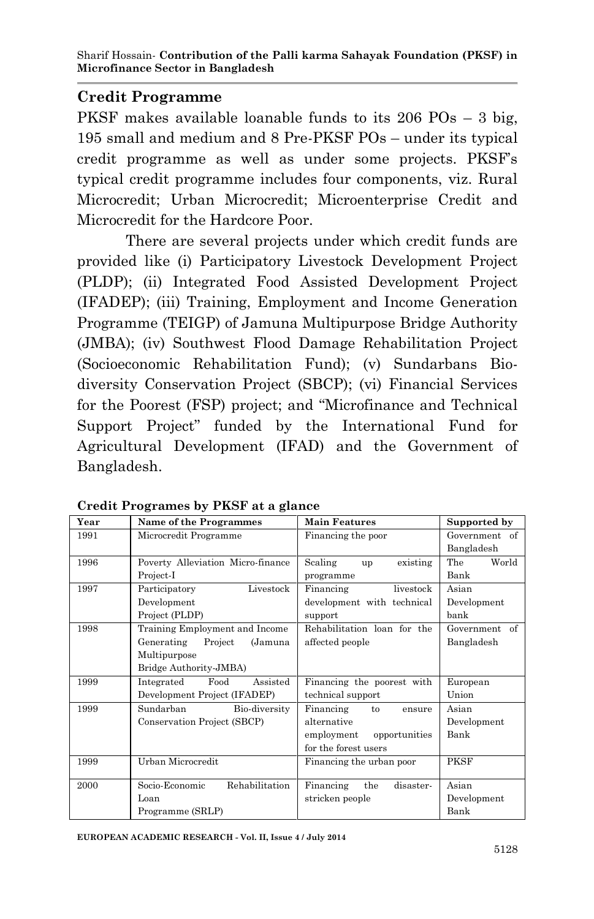## **Credit Programme**

PKSF makes available loanable funds to its 206 POs – 3 big, 195 small and medium and 8 Pre-PKSF POs – under its typical credit programme as well as under some projects. PKSF's typical credit programme includes four components, viz. Rural Microcredit; Urban Microcredit; Microenterprise Credit and Microcredit for the Hardcore Poor.

There are several projects under which credit funds are provided like (i) Participatory Livestock Development Project (PLDP); (ii) Integrated Food Assisted Development Project (IFADEP); (iii) Training, Employment and Income Generation Programme (TEIGP) of Jamuna Multipurpose Bridge Authority (JMBA); (iv) Southwest Flood Damage Rehabilitation Project (Socioeconomic Rehabilitation Fund); (v) Sundarbans Biodiversity Conservation Project (SBCP); (vi) Financial Services for the Poorest (FSP) project; and "Microfinance and Technical Support Project" funded by the International Fund for Agricultural Development (IFAD) and the Government of Bangladesh.

| Year | Name of the Programmes            | Main Features                 | Supported by  |
|------|-----------------------------------|-------------------------------|---------------|
| 1991 | Microcredit Programme             | Financing the poor            | Government of |
|      |                                   |                               | Bangladesh    |
| 1996 | Poverty Alleviation Micro-finance | Scaling<br>existing<br>up     | World<br>The  |
|      | Project-I                         | programme                     | Bank          |
| 1997 | Livestock<br>Participatory        | Financing<br>livestock        | Asian         |
|      | Development                       | development with technical    | Development   |
|      | Project (PLDP)                    | support                       | bank          |
| 1998 | Training Employment and Income    | Rehabilitation loan for the   | Government of |
|      | Generating<br>(Jamuna<br>Project  | affected people               | Bangladesh    |
|      | Multipurpose                      |                               |               |
|      | Bridge Authority-JMBA)            |                               |               |
| 1999 | Food<br>Integrated<br>Assisted    | Financing the poorest with    | European      |
|      | Development Project (IFADEP)      | technical support             | Union         |
| 1999 | Sundarban<br>Bio-diversity        | Financing<br>to<br>ensure     | Asian         |
|      | Conservation Project (SBCP)       | alternative                   | Development   |
|      |                                   | employment<br>opportunities   | Bank          |
|      |                                   | for the forest users          |               |
| 1999 | Urban Microcredit                 | Financing the urban poor      | <b>PKSF</b>   |
|      |                                   |                               |               |
| 2000 | Socio-Economic<br>Rehabilitation  | Financing<br>the<br>disaster- | Asian         |
|      | Loan                              | stricken people               | Development   |
|      | Programme (SRLP)                  |                               | Bank          |

**Credit Programes by PKSF at a glance**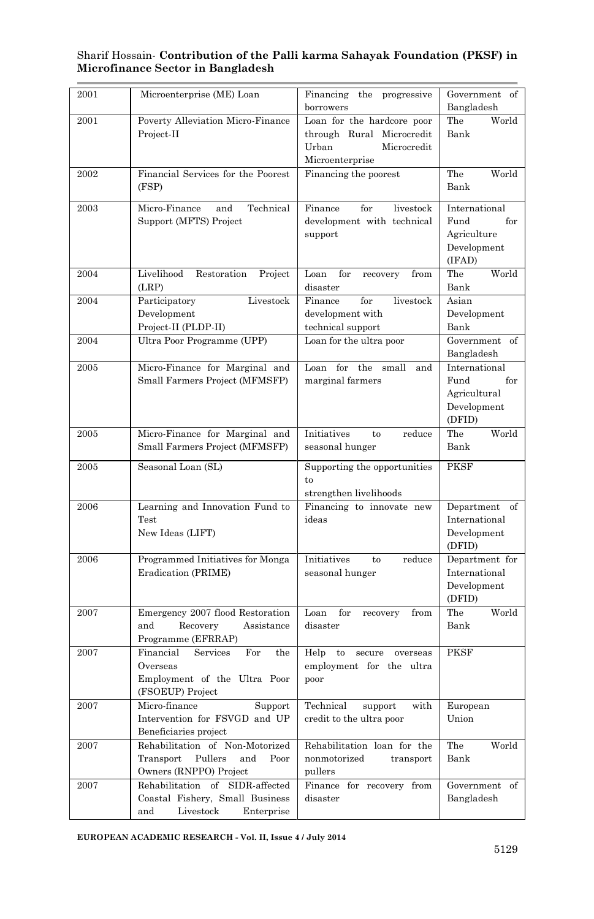| 2001 | Microenterprise (ME) Loan            | Financing the progressive                | Government of                           |
|------|--------------------------------------|------------------------------------------|-----------------------------------------|
|      |                                      | borrowers                                | Bangladesh                              |
| 2001 | Poverty Alleviation Micro-Finance    | Loan for the hardcore poor               | The<br>World                            |
|      | Project-II                           | through Rural Microcredit                | Bank                                    |
|      |                                      | Microcredit<br>Urban                     |                                         |
|      |                                      | Microenterprise                          |                                         |
| 2002 | Financial Services for the Poorest   | Financing the poorest                    | The<br>World                            |
|      | (FSP)                                |                                          | Bank                                    |
| 2003 | Micro-Finance<br>Technical<br>and    | Finance<br>livestock<br>$_{\rm for}$     | International                           |
|      | Support (MFTS) Project               | development with technical               | for<br>Fund                             |
|      |                                      | support                                  | Agriculture                             |
|      |                                      |                                          | Development                             |
|      |                                      |                                          | (IFAD)                                  |
| 2004 | Livelihood<br>Restoration<br>Project | Loan<br>$_{\rm for}$<br>recovery<br>from | The<br>World                            |
|      | (LRP)                                | disaster                                 | Bank                                    |
| 2004 | Participatory<br>Livestock           | Finance<br>for<br>livestock              | Asian                                   |
|      | Development                          | development with                         | Development                             |
|      | Project-II (PLDP-II)                 | technical support                        | Bank                                    |
| 2004 | Ultra Poor Programme (UPP)           | Loan for the ultra poor                  | Government of                           |
|      |                                      |                                          | Bangladesh                              |
| 2005 | Micro-Finance for Marginal and       | Loan for<br>the<br>small<br>and          | International                           |
|      | Small Farmers Project (MFMSFP)       | marginal farmers                         | Fund<br>for                             |
|      |                                      |                                          | Agricultural                            |
|      |                                      |                                          | $\label{ex-qie:main} {\rm Development}$ |
|      |                                      |                                          | (DFID)                                  |
| 2005 | Micro-Finance for Marginal and       | Initiatives<br>reduce<br>to              | The<br>World                            |
|      | Small Farmers Project (MFMSFP)       | seasonal hunger                          | Bank                                    |
| 2005 | Seasonal Loan (SL)                   | Supporting the opportunities             | <b>PKSF</b>                             |
|      |                                      | to                                       |                                         |
|      |                                      | strengthen livelihoods                   |                                         |
| 2006 | Learning and Innovation Fund to      | Financing to innovate new                | Department of                           |
|      | Test                                 | ideas                                    | International                           |
|      | New Ideas (LIFT)                     |                                          | Development                             |
|      |                                      |                                          | (DFID)                                  |
| 2006 | Programmed Initiatives for Monga     | Initiatives<br>reduce<br>to              | Department for                          |
|      | Eradication (PRIME)                  | seasonal hunger                          | International                           |
|      |                                      |                                          | Development<br>(DFID)                   |
| 2007 | Emergency 2007 flood Restoration     | Loan for<br>from                         | The<br>World                            |
|      | and<br>Recovery<br>Assistance        | recovery<br>disaster                     | Bank                                    |
|      | Programme (EFRRAP)                   |                                          |                                         |
| 2007 | Financial<br>Services<br>For<br>the  | Help<br>to<br>secure<br>overseas         | <b>PKSF</b>                             |
|      | Overseas                             | employment for the ultra                 |                                         |
|      | Employment of the Ultra Poor         | poor                                     |                                         |
|      | (FSOEUP) Project                     |                                          |                                         |
| 2007 | Micro-finance<br>Support             | Technical<br>support<br>with             | European                                |
|      | Intervention for FSVGD and UP        | credit to the ultra poor                 | Union                                   |
|      | Beneficiaries project                |                                          |                                         |
| 2007 | Rehabilitation of Non-Motorized      | Rehabilitation loan for the              | The<br>World                            |
|      | Transport<br>Pullers<br>and<br>Poor  | nonmotorized<br>transport                | Bank                                    |
|      | Owners (RNPPO) Project               | pullers                                  |                                         |
| 2007 | Rehabilitation of SIDR-affected      | Finance for recovery from                | Government<br>of                        |
|      | Coastal Fishery, Small Business      | disaster                                 | Bangladesh                              |
|      | Livestock<br>Enterprise<br>and       |                                          |                                         |

**EUROPEAN ACADEMIC RESEARCH - Vol. II, Issue 4 / July 2014**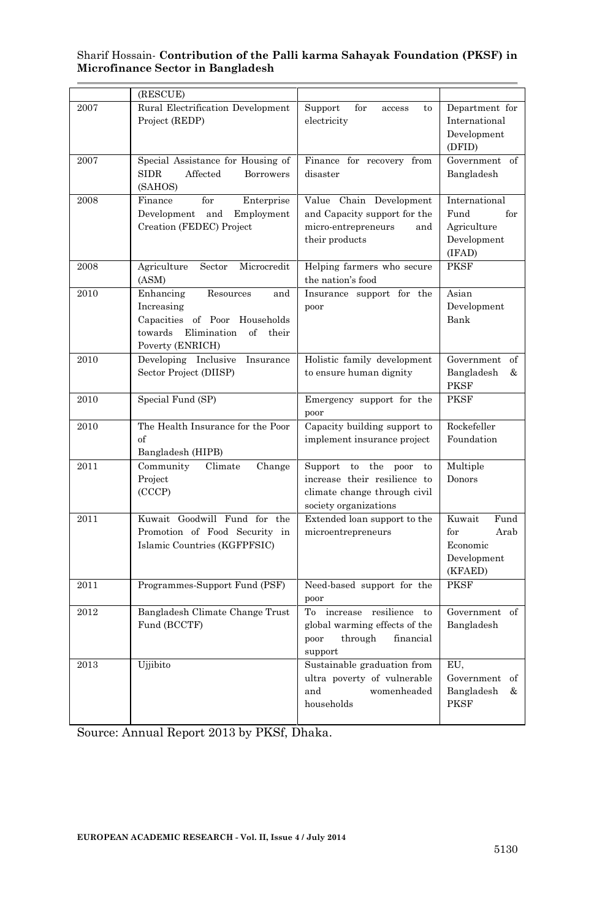|      | (RESCUE)                                                                                                                                  |                                                                                                                     |                                                                      |
|------|-------------------------------------------------------------------------------------------------------------------------------------------|---------------------------------------------------------------------------------------------------------------------|----------------------------------------------------------------------|
| 2007 | Rural Electrification Development<br>Project (REDP)                                                                                       | Support<br>for<br>to.<br>access<br>electricity                                                                      | Department for<br>International<br>Development<br>(DFID)             |
| 2007 | Special Assistance for Housing of<br><b>SIDR</b><br>Affected<br><b>Borrowers</b><br>(SAHOS)                                               | Finance for recovery from<br>disaster                                                                               | Government of<br>Bangladesh                                          |
| 2008 | Finance<br>for<br>Enterprise<br>Development and Employment<br>Creation (FEDEC) Project                                                    | Value Chain Development<br>and Capacity support for the<br>micro-entrepreneurs<br>and<br>their products             | International<br>for<br>Fund<br>Agriculture<br>Development<br>(IFAD) |
| 2008 | Agriculture<br>Sector<br>Microcredit<br>(ASM)                                                                                             | Helping farmers who secure<br>the nation's food                                                                     | <b>PKSF</b>                                                          |
| 2010 | Enhancing<br>Resources<br>and<br>Increasing<br>Capacities of Poor Households<br>towards<br>Elimination<br>of<br>their<br>Poverty (ENRICH) | Insurance support for the<br>poor                                                                                   | Asian<br>Development<br>Bank                                         |
| 2010 | Developing Inclusive Insurance<br>Sector Project (DIISP)                                                                                  | Holistic family development<br>to ensure human dignity                                                              | Government of<br>Bangladesh<br>&<br><b>PKSF</b>                      |
| 2010 | Special Fund (SP)                                                                                                                         | Emergency support for the<br>poor                                                                                   | <b>PKSF</b>                                                          |
| 2010 | The Health Insurance for the Poor<br>of<br>Bangladesh (HIPB)                                                                              | Capacity building support to<br>implement insurance project                                                         | Rockefeller<br>Foundation                                            |
| 2011 | Community<br>Climate<br>Change<br>Project<br>(CCCP)                                                                                       | Support to the poor<br>to<br>increase their resilience to<br>climate change through civil<br>society organizations  | Multiple<br>Donors                                                   |
| 2011 | Kuwait Goodwill Fund for the<br>Promotion of Food Security in<br>Islamic Countries (KGFPFSIC)                                             | Extended loan support to the<br>microentrepreneurs                                                                  | Kuwait<br>Fund<br>Arab<br>for<br>Economic<br>Development<br>(KFAED)  |
| 2011 | Programmes-Support Fund (PSF)                                                                                                             | Need-based support for the<br>poor                                                                                  | <b>PKSF</b>                                                          |
| 2012 | Bangladesh Climate Change Trust<br>Fund (BCCTF)                                                                                           | To increase resilience<br>$\mathsf{to}$<br>global warming effects of the<br>through<br>poor<br>financial<br>support | Government of<br>Bangladesh                                          |
| 2013 | Ujjibito                                                                                                                                  | Sustainable graduation from<br>ultra poverty of vulnerable<br>womenheaded<br>and<br>households                      | EU,<br>Government of<br>Bangladesh<br>&<br><b>PKSF</b>               |

Source: Annual Report 2013 by PKSf, Dhaka.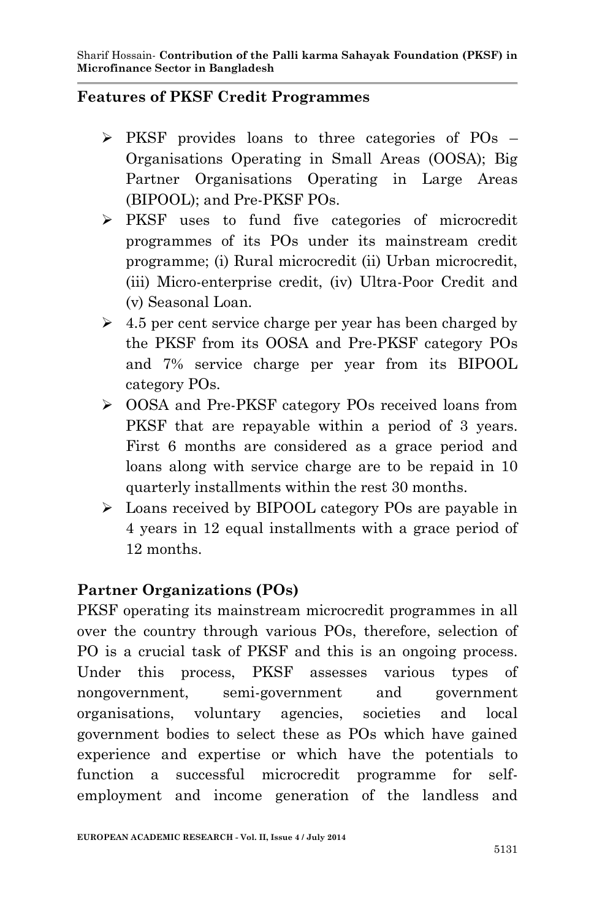## **Features of PKSF Credit Programmes**

- $\triangleright$  PKSF provides loans to three categories of POs Organisations Operating in Small Areas (OOSA); Big Partner Organisations Operating in Large Areas (BIPOOL); and Pre-PKSF POs.
- PKSF uses to fund five categories of microcredit programmes of its POs under its mainstream credit programme; (i) Rural microcredit (ii) Urban microcredit, (iii) Micro-enterprise credit, (iv) Ultra-Poor Credit and (v) Seasonal Loan.
- $\geq 4.5$  per cent service charge per year has been charged by the PKSF from its OOSA and Pre-PKSF category POs and 7% service charge per year from its BIPOOL category POs.
- OOSA and Pre-PKSF category POs received loans from PKSF that are repayable within a period of 3 years. First 6 months are considered as a grace period and loans along with service charge are to be repaid in 10 quarterly installments within the rest 30 months.
- $\geq$  Loans received by BIPOOL category POs are payable in 4 years in 12 equal installments with a grace period of 12 months.

# **Partner Organizations (POs)**

PKSF operating its mainstream microcredit programmes in all over the country through various POs, therefore, selection of PO is a crucial task of PKSF and this is an ongoing process. Under this process, PKSF assesses various types of nongovernment, semi-government and government organisations, voluntary agencies, societies and local government bodies to select these as POs which have gained experience and expertise or which have the potentials to function a successful microcredit programme for selfemployment and income generation of the landless and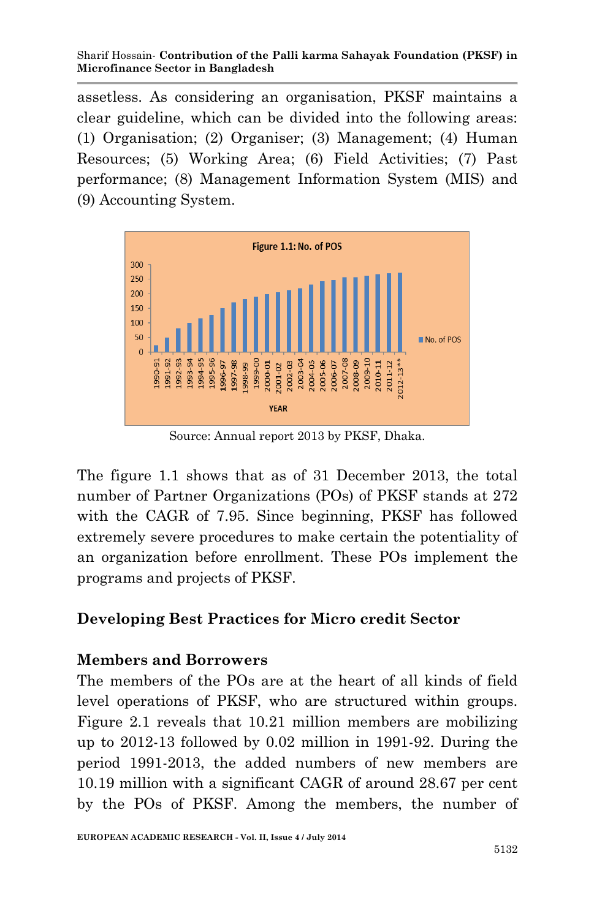assetless. As considering an organisation, PKSF maintains a clear guideline, which can be divided into the following areas: (1) Organisation; (2) Organiser; (3) Management; (4) Human Resources; (5) Working Area; (6) Field Activities; (7) Past performance; (8) Management Information System (MIS) and (9) Accounting System.



Source: Annual report 2013 by PKSF, Dhaka.

The figure 1.1 shows that as of 31 December 2013, the total number of Partner Organizations (POs) of PKSF stands at 272 with the CAGR of 7.95. Since beginning, PKSF has followed extremely severe procedures to make certain the potentiality of an organization before enrollment. These POs implement the programs and projects of PKSF.

## **Developing Best Practices for Micro credit Sector**

### **Members and Borrowers**

The members of the POs are at the heart of all kinds of field level operations of PKSF, who are structured within groups. Figure 2.1 reveals that 10.21 million members are mobilizing up to 2012-13 followed by 0.02 million in 1991-92. During the period 1991-2013, the added numbers of new members are 10.19 million with a significant CAGR of around 28.67 per cent by the POs of PKSF. Among the members, the number of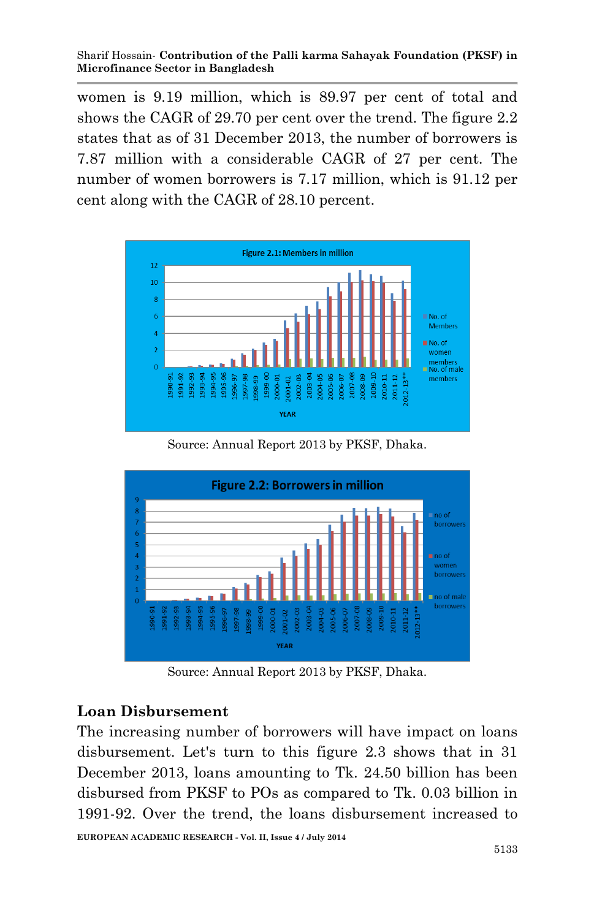women is 9.19 million, which is 89.97 per cent of total and shows the CAGR of 29.70 per cent over the trend. The figure 2.2 states that as of 31 December 2013, the number of borrowers is 7.87 million with a considerable CAGR of 27 per cent. The number of women borrowers is 7.17 million, which is 91.12 per cent along with the CAGR of 28.10 percent.



Source: Annual Report 2013 by PKSF, Dhaka.



Source: Annual Report 2013 by PKSF, Dhaka.

## **Loan Disbursement**

The increasing number of borrowers will have impact on loans disbursement. Let's turn to this figure 2.3 shows that in 31 December 2013, loans amounting to Tk. 24.50 billion has been disbursed from PKSF to POs as compared to Tk. 0.03 billion in 1991-92. Over the trend, the loans disbursement increased to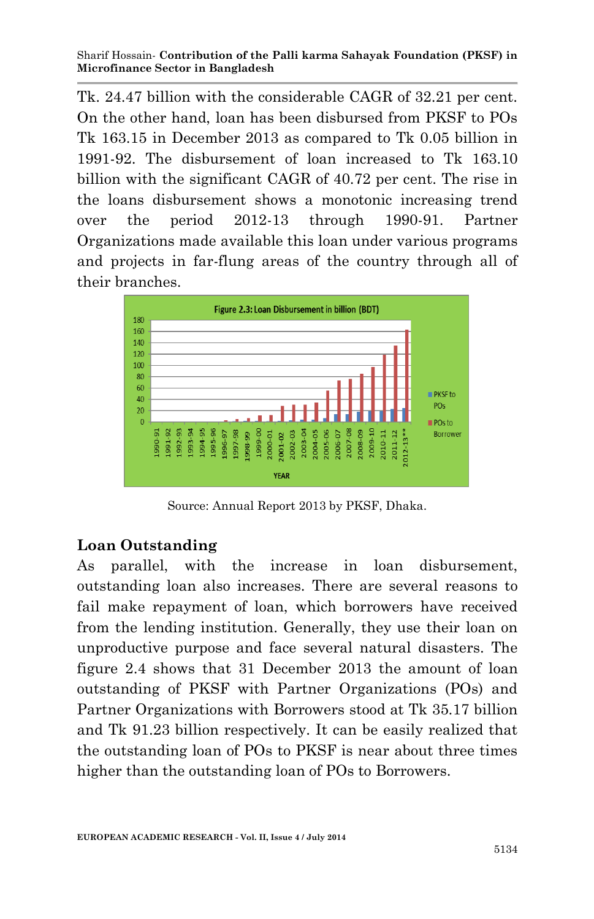Tk. 24.47 billion with the considerable CAGR of 32.21 per cent. On the other hand, loan has been disbursed from PKSF to POs Tk 163.15 in December 2013 as compared to Tk 0.05 billion in 1991-92. The disbursement of loan increased to Tk 163.10 billion with the significant CAGR of 40.72 per cent. The rise in the loans disbursement shows a monotonic increasing trend over the period 2012-13 through 1990-91. Partner Organizations made available this loan under various programs and projects in far-flung areas of the country through all of their branches.



Source: Annual Report 2013 by PKSF, Dhaka.

### **Loan Outstanding**

As parallel, with the increase in loan disbursement, outstanding loan also increases. There are several reasons to fail make repayment of loan, which borrowers have received from the lending institution. Generally, they use their loan on unproductive purpose and face several natural disasters. The figure 2.4 shows that 31 December 2013 the amount of loan outstanding of PKSF with Partner Organizations (POs) and Partner Organizations with Borrowers stood at Tk 35.17 billion and Tk 91.23 billion respectively. It can be easily realized that the outstanding loan of POs to PKSF is near about three times higher than the outstanding loan of POs to Borrowers.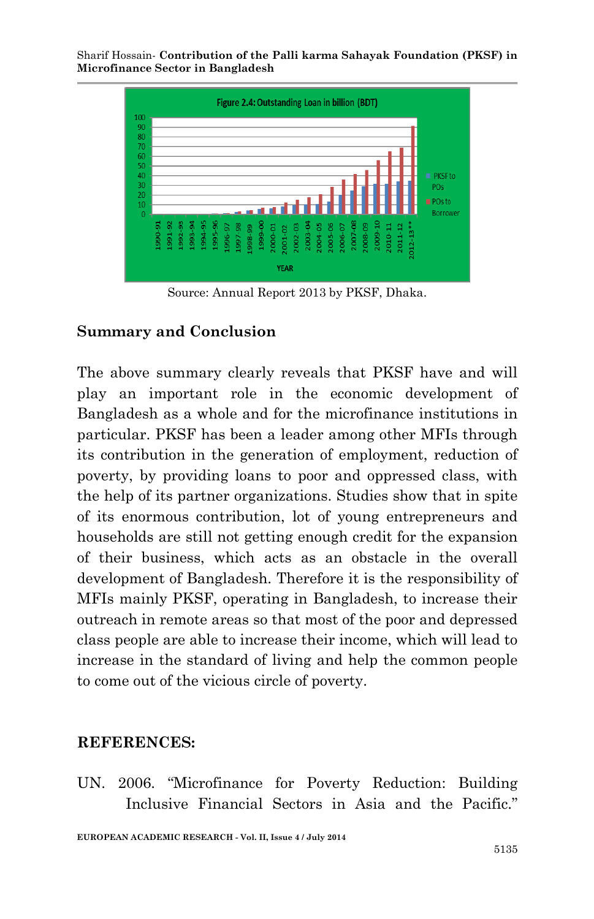

Source: Annual Report 2013 by PKSF, Dhaka.

### **Summary and Conclusion**

The above summary clearly reveals that PKSF have and will play an important role in the economic development of Bangladesh as a whole and for the microfinance institutions in particular. PKSF has been a leader among other MFIs through its contribution in the generation of employment, reduction of poverty, by providing loans to poor and oppressed class, with the help of its partner organizations. Studies show that in spite of its enormous contribution, lot of young entrepreneurs and households are still not getting enough credit for the expansion of their business, which acts as an obstacle in the overall development of Bangladesh. Therefore it is the responsibility of MFIs mainly PKSF, operating in Bangladesh, to increase their outreach in remote areas so that most of the poor and depressed class people are able to increase their income, which will lead to increase in the standard of living and help the common people to come out of the vicious circle of poverty.

### **REFERENCES:**

UN. 2006. "Microfinance for Poverty Reduction: Building Inclusive Financial Sectors in Asia and the Pacific."

**EUROPEAN ACADEMIC RESEARCH - Vol. II, Issue 4 / July 2014**